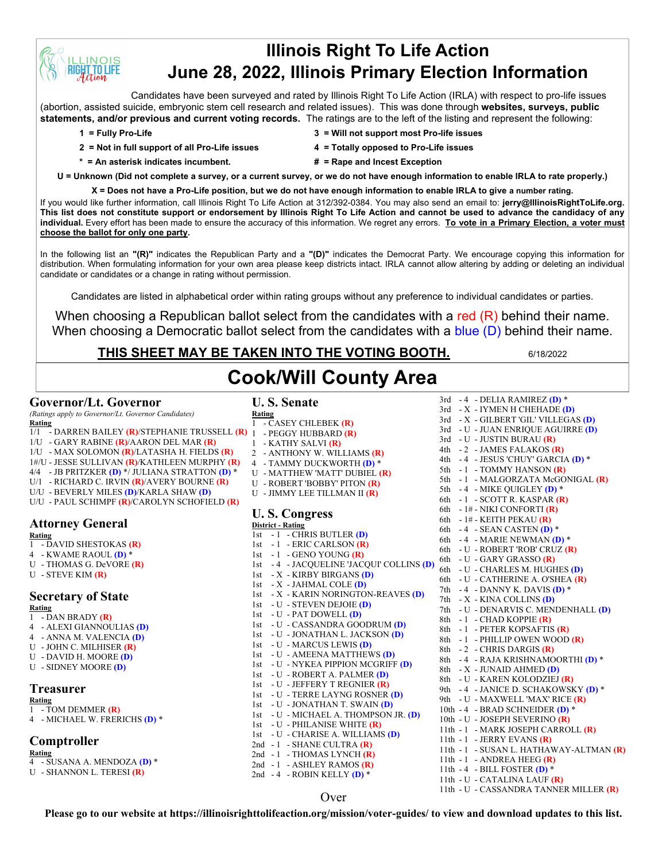# **Illinois Right To Life Action June 28, 2022, Illinois Primary Election Information**

Candidates have been surveyed and rated by Illinois Right To Life Action (IRLA) with respect to pro-life issues (abortion, assisted suicide, embryonic stem cell research and related issues). This was done through **websites, surveys, public statements, and/or previous and current voting records.** The ratings are to the left of the listing and represent the following:

**INOIS IT TO LIFE** 

- **2 = Not in full support of all Pro-Life issues 4 = Totally opposed to Pro-Life issues**
- **1 = Fully Pro-Life 3 = Will not support most Pro-life issues**
	-
- 
- **\* = An asterisk indicates incumbent. # = Rape and Incest Exception**
- **U = Unknown (Did not complete a survey, or a current survey, or we do not have enough information to enable IRLA to rate properly.)**

**X = Does not have a Pro-Life position, but we do not have enough information to enable IRLA to give a number rating.**  If you would like further information, call Illinois Right To Life Action at 312/392-0384. You may also send an email to: **jerry@IllinoisRightToLife.org.** 

**This list does not constitute support or endorsement by Illinois Right To Life Action and cannot be used to advance the candidacy of any individual.** Every effort has been made to ensure the accuracy of this information. We regret any errors. **To vote in a Primary Election, a voter must choose the ballot for only one party.**

In the following list an **"(R)"** indicates the Republican Party and a **"(D)"** indicates the Democrat Party. We encourage copying this information for distribution. When formulating information for your own area please keep districts intact. IRLA cannot allow altering by adding or deleting an individual candidate or candidates or a change in rating without permission.

Candidates are listed in alphabetical order within rating groups without any preference to individual candidates or parties.

When choosing a Republican ballot select from the candidates with a red  $(R)$  behind their name. When choosing a Democratic ballot select from the candidates with a blue (D) behind their name.

# **THIS SHEET MAY BE TAKEN INTO THE VOTING BOOTH.** 6/18/2022

# **Cook/Will County Area**

## **Governor/Lt. Governor**

*(Ratings apply to Governor/Lt. Governor Candidates)* **Rating**

- 1/1 DARREN BAILEY **(R)**/STEPHANIE TRUSSELL **(R)**
- 1/U GARY RABINE **(R)**/AARON DEL MAR **(R)**
- 1/U MAX SOLOMON **(R)**/LATASHA H. FIELDS **(R)**
- 1#/U JESSE SULLIVAN **(R)**/KATHLEEN MURPHY **(R)**
- 4/4 JB PRITZKER **(D)** \*/ JULIANA STRATTON **(D)** \*
- U/1 RICHARD C. IRVIN **(R)**/AVERY BOURNE **(R)**
- U/U BEVERLY MILES **(D)**/KARLA SHAW **(D)**
- U/U PAUL SCHIMPF **(R)**/CAROLYN SCHOFIELD **(R)**

#### **Attorney General Rating**

- 1 DAVID SHESTOKAS **(R)**
- 4 KWAME RAOUL **(D)** \*
- U THOMAS G. DeVORE **(R)**
- U STEVE KIM **(R)**

# **Secretary of State**

**Rating** 1 - DAN BRADY **(R)**

- 4 ALEXI GIANNOULIAS **(D)**
- 4 ANNA M. VALENCIA **(D)**
- U JOHN C. MILHISER **(R)**
- U DAVID H. MOORE **(D)**
- U SIDNEY MOORE **(D)**

## **Treasurer**

#### **Rating**

- 1 TOM DEMMER **(R)**
- 4 MICHAEL W. FRERICHS **(D)** \*

## **Comptroller**

**Rating**

- 4 SUSANA A. MENDOZA **(D)** \*
- U SHANNON L. TERESI **(R)**

**U. S. Senate Rating** 1 - CASEY CHLEBEK **(R)** 1 - PEGGY HUBBARD **(R)** 1 - KATHY SALVI **(R)** 2 - ANTHONY W. WILLIAMS **(R)** 4 - TAMMY DUCKWORTH **(D)** \* U - MATTHEW 'MATT' DUBIEL **(R)** U - ROBERT 'BOBBY' PITON **(R)** U - JIMMY LEE TILLMAN II **(R) U. S. Congress District - Rating** 1st - 1 - CHRIS BUTLER **(D)** 1st - 1 - ERIC CARLSON **(R)** 1st - 1 - GENO YOUNG **(R)** 1st - 4 - JACQUELINE 'JACQUI' COLLINS **(D)** 6th - U - GARY GRASSO **(R)** 1st - X - KIRBY BIRGANS **(D)** 1st - X - JAHMAL COLE **(D)** 1st - X - KARIN NORINGTON-REAVES **(D)** 1st - U - STEVEN DEJOIE **(D)** 1st - U - PAT DOWELL **(D)** 1st - U - CASSANDRA GOODRUM **(D)** 1st - U - JONATHAN L. JACKSON **(D)** 1st - U - MARCUS LEWIS **(D)** 1st - U - AMEENA MATTHEWS **(D)** 1st - U - NYKEA PIPPION MCGRIFF **(D)** 1st - U - ROBERT A. PALMER **(D)** 1st - U - JEFFERY T REGNIER **(R)** 1st - U - TERRE LAYNG ROSNER **(D)** 1st - U - JONATHAN T. SWAIN **(D)** 1st - U - MICHAEL A. THOMPSON JR. **(D)** 1st - U - PHILANISE WHITE **(R)** 1st - U - CHARISE A. WILLIAMS **(D)** 2nd - 1 - SHANE CULTRA **(R)** 2nd - 1 - THOMAS LYNCH (R) 2nd - 1 - ASHLEY RAMOS **(R)** 2nd - 4 - ROBIN KELLY **(D)** \*

3rd - 4 - DELIA RAMIREZ **(D)** \* 3rd - X - IYMEN H CHEHADE **(D)** 3rd - X - GILBERT 'GIL' VILLEGAS **(D)** 3rd - U - JUAN ENRIQUE AGUIRRE **(D)** 3rd - U - JUSTIN BURAU **(R)** 4th - 2 - JAMES FALAKOS **(R)** 4th - 4 - JESUS 'CHUY' GARCIA **(D)** \* 5th - 1 - TOMMY HANSON (R) 5th - 1 - MALGORZATA McGONIGAL **(R)** 5th - 4 - MIKE QUIGLEY **(D)** \* 6th - 1 - SCOTT R. KASPAR **(R)** 6th - 1# - NIKI CONFORTI **(R)** 6th - 1# - KEITH PEKAU **(R)** 6th - 4 - SEAN CASTEN **(D)** \* 6th - 4 - MARIE NEWMAN **(D)** \* 6th - U - ROBERT 'ROB' CRUZ **(R)** 6th - U - CHARLES M. HUGHES **(D)** 6th - U - CATHERINE A. O'SHEA **(R)** 7th - 4 - DANNY K. DAVIS **(D)** \* 7th - X - KINA COLLINS **(D)** 7th - U - DENARVIS C. MENDENHALL **(D)** 8th - 1 - CHAD KOPPIE **(R)** 8th - 1 - PETER KOPSAFTIS **(R)** 8th - 1 - PHILLIP OWEN WOOD **(R)** 8th - 2 - CHRIS DARGIS **(R)** 8th - 4 - RAJA KRISHNAMOORTHI **(D)** \* 8th - X - JUNAID AHMED **(D)** 8th - U - KAREN KOLODZIEJ **(R)** 9th - 4 - JANICE D. SCHAKOWSKY **(D)** \* 9th - U - MAXWELL 'MAX' RICE **(R)** 10th - 4 - BRAD SCHNEIDER **(D)** \* 10th - U - JOSEPH SEVERINO **(R)** 11th - 1 - MARK JOSEPH CARROLL **(R)** 11th - 1 - JERRY EVANS **(R)** 11th - 1 - SUSAN L. HATHAWAY-ALTMAN **(R)** 11th - 1 - ANDREA HEEG **(R)** 11th - 4 - BILL FOSTER **(D)** \* 11th - U - CATALINA LAUF **(R)** 11th - U - CASSANDRA TANNER MILLER **(R)**

Over

**Please go to our website at https://illinoisrighttolifeaction.org/mission/voter-guides/ to view and download updates to this list.**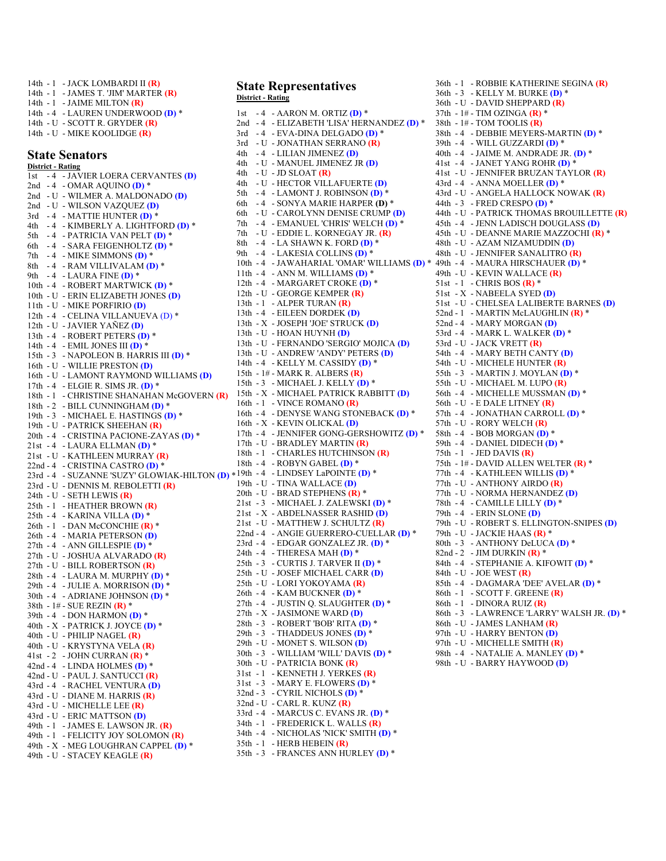14th - 1 - JACK LOMBARDI II **(R)** 14th - 1 - JAMES T. 'JIM' MARTER **(R)** 14th - 1 - JAIME MILTON **(R)** 14th - 4 - LAUREN UNDERWOOD **(D)** \* 14th - U - SCOTT R. GRYDER **(R)** 14th - U - MIKE KOOLIDGE **(R)**

#### **State Senators**

**District - Rating** 1st - 4 - JAVIER LOERA CERVANTES **(D)** 2nd - 4 - OMAR AQUINO **(D)** \* 2nd - U - WILMER A. MALDONADO **(D)** 2nd - U - WILSON VAZQUEZ **(D)** 3rd - 4 - MATTIE HUNTER **(D)** \* 4th - 4 - KIMBERLY A. LIGHTFORD **(D)** \* 5th - 4 - PATRICIA VAN PELT **(D)** \* 6th - 4 - SARA FEIGENHOLTZ **(D)** \* 7th - 4 - MIKE SIMMONS **(D)** \* 8th - 4 - RAM VILLIVALAM **(D)** \* 9th - 4 - LAURA FINE **(D)** \* 10th - 4 - ROBERT MARTWICK **(D)** \* 10th - U - ERIN ELIZABETH JONES **(D)** 11th - U - MIKE PORFIRIO **(D)** 12th - 4 - CELINA VILLANUEVA (D) \* 12th - U - JAVIER YAÑEZ **(D)** 13th - 4 - ROBERT PETERS **(D)** \* 14th - 4 - EMIL JONES III **(D)** \* 15th - 3 - NAPOLEON B. HARRIS III **(D)** \* 16th - U - WILLIE PRESTON **(D)** 16th - U - LAMONT RAYMOND WILLIAMS **(D)** 17th - 4 - ELGIE R. SIMS JR. **(D)** \* 18th - 1 - CHRISTINE SHANAHAN McGOVERN **(R)** 18th - 2 - BILL CUNNINGHAM **(D)** \* 19th - 3 - MICHAEL E. HASTINGS **(D)** \* 19th - U - PATRICK SHEEHAN **(R)** 20th - 4 - CRISTINA PACIONE-ZAYAS **(D)** \* 21st - 4 - LAURA ELLMAN **(D)** \* 21st - U - KATHLEEN MURRAY **(R)** 22nd - 4 - CRISTINA CASTRO **(D)** \* 23rd - 4 - SUZANNE 'SUZY' GLOWIAK-HILTON **(D)** \* 19th - 4 - LINDSEY LaPOINTE **(D)** \* 23rd - U - DENNIS M. REBOLETTI **(R)** 24th - U - SETH LEWIS **(R)** 25th - 1 - HEATHER BROWN **(R)** 25th - 4 - KARINA VILLA **(D)** \* 26th - 1 - DAN McCONCHIE **(R)** \* 26th - 4 - MARIA PETERSON **(D)** 27th - 4 - ANN GILLESPIE **(D)** \* 27th - U - JOSHUA ALVARADO **(R)** 27th - U - BILL ROBERTSON **(R)** 28th - 4 - LAURA M. MURPHY **(D)** \* 29th - 4 - JULIE A. MORRISON **(D)** \* 30th - 4 - ADRIANE JOHNSON **(D)** \* 38th - 1# - SUE REZIN **(R)** \* 39th - 4 - DON HARMON **(D)** \* 40th - X - PATRICK J. JOYCE **(D)** \* 40th - U - PHILIP NAGEL **(R)** 40th - U - KRYSTYNA VELA **(R)** 41st - 2 - JOHN CURRAN **(R)** \* 42nd - 4 - LINDA HOLMES **(D)** \* 42nd - U - PAUL J. SANTUCCI **(R)** 43rd - 4 - RACHEL VENTURA **(D)** 43rd - U - DIANE M. HARRIS **(R)** 43rd - U - MICHELLE LEE **(R)** 43rd - U - ERIC MATTSON **(D)** 49th - 1 - JAMES E. LAWSON JR. **(R)** 49th - 1 - FELICITY JOY SOLOMON **(R)** 49th - X - MEG LOUGHRAN CAPPEL **(D)** \* 49th - U - STACEY KEAGLE **(R)** 

#### **State Representatives District - Rating**

1st - 4 - AARON M. ORTIZ **(D)** \* 2nd - 4 - ELIZABETH 'LISA' HERNANDEZ **(D)** \* 3rd - 4 - EVA-DINA DELGADO **(D)** \* 3rd - U - JONATHAN SERRANO **(R)** 4th - 4 - LILIAN JIMENEZ **(D)** 4th - U - MANUEL JIMENEZ JR **(D)** 4th - U - JD SLOAT **(R)** 4th - U - HECTOR VILLAFUERTE **(D)** 5th - 4 - LAMONT J. ROBINSON **(D)** \* 6th - 4 - SONYA MARIE HARPER **(D)** \* 6th - U - CAROLYNN DENISE CRUMP **(D)** 7th - 4 - EMANUEL 'CHRIS' WELCH **(D)** \* 7th - U - EDDIE L. KORNEGAY JR. **(R)** 8th - 4 - LA SHAWN K. FORD **(D)** \* 9th - 4 - LAKESIA COLLINS **(D)** \* 10th - 4 - JAWAHARIAL 'OMAR' WILLIAMS **(D)** \* 49th - 4 - MAURA HIRSCHAUER **(D)** \* 11th - 4 - ANN M. WILLIAMS **(D)** \* 12th - 4 - MARGARET CROKE **(D)** \* 12th - U - GEORGE KEMPER **(R)** 13th - 1 - ALPER TURAN **(R)** 13th - 4 - EILEEN DORDEK **(D)** 13th - X - JOSEPH 'JOE' STRUCK **(D)** 13th - U - HOAN HUYNH **(D)** 13th - U - FERNANDO 'SERGIO' MOJICA **(D)** 13th - U - ANDREW 'ANDY' PETERS **(D)** 14th - 4 - KELLY M. CASSIDY **(D)** \* 15th - 1# - MARK R. ALBERS **(R)** 15th - 3 - MICHAEL J. KELLY **(D)** \* 15th - X - MICHAEL PATRICK RABBITT **(D)** 16th - 1 - VINCE ROMANO **(R)** 16th - 4 - DENYSE WANG STONEBACK **(D)** \* 16th - X - KEVIN OLICKAL **(D)** 17th - 4 - JENNIFER GONG-GERSHOWITZ **(D)** \* 17th - U - BRADLEY MARTIN **(R)** 18th - 1 - CHARLES HUTCHINSON **(R)** 18th - 4 - ROBYN GABEL **(D)** \* 19th - U - TINA WALLACE **(D)** 20th - U - BRAD STEPHENS **(R)** \* 21st - 3 - MICHAEL J. ZALEWSKI **(D)** \* 21st - X - ABDELNASSER RASHID **(D)** 21st - U - MATTHEW J. SCHULTZ **(R)** 22nd - 4 - ANGIE GUERRERO-CUELLAR **(D)** \* 23rd - 4 - EDGAR GONZALEZ JR. **(D)** \* 24th - 4 - THERESA MAH **(D)** \* 25th - 3 - CURTIS J. TARVER II **(D)** \* 25th - U - JOSEF MICHAEL CARR **(D)** 25th - U - LORI YOKOYAMA **(R)** 26th - 4 - KAM BUCKNER **(D)** \* 27th - 4 - JUSTIN Q. SLAUGHTER **(D)** \* 27th - X - JASIMONE WARD **(D)** 28th - 3 - ROBERT 'BOB' RITA **(D)** \* 29th - 3 - THADDEUS JONES **(D)** \* 29th - U - MONET S. WILSON **(D)** 30th - 3 - WILLIAM 'WILL' DAVIS **(D)** \* 30th - U - PATRICIA BONK **(R)** 31st - 1 - KENNETH J. YERKES **(R)** 31st - 3 - MARY E. FLOWERS **(D)** \* 32nd - 3 - CYRIL NICHOLS **(D)** \* 32nd - U - CARL R. KUNZ **(R)** 33rd - 4 - MARCUS C. EVANS JR. **(D)** \* 34th - 1 - FREDERICK L. WALLS **(R)** 34th - 4 - NICHOLAS 'NICK' SMITH **(D)** \* 35th - 1 - HERB HEBEIN **(R)** 35th - 3 - FRANCES ANN HURLEY **(D)** \*

36th - 1 - ROBBIE KATHERINE SEGINA **(R)** 36th - 3 - KELLY M. BURKE **(D)** \* 36th - U - DAVID SHEPPARD **(R)** 37th - 1# - TIM OZINGA **(R)** \* 38th - 1# - TOM TOOLIS **(R)** 38th - 4 - DEBBIE MEYERS-MARTIN **(D)** \* 39th - 4 - WILL GUZZARDI **(D)** \* 40th - 4 - JAIME M. ANDRADE JR. **(D)** \* 41st - 4 - JANET YANG ROHR **(D)** \* 41st - U - JENNIFER BRUZAN TAYLOR **(R)** 43rd - 4 - ANNA MOELLER **(D)** \* 43rd - U - ANGELA HALLOCK NOWAK **(R)** 44th - 3 - FRED CRESPO **(D)** \* 44th - U - PATRICK THOMAS BROUILLETTE **(R)** 45th - 4 - JENN LADISCH DOUGLASS **(D)** 45th - U - DEANNE MARIE MAZZOCHI **(R)** \* 48th - U - AZAM NIZAMUDDIN **(D)** 48th - U - JENNIFER SANALITRO **(R)** 49th - U - KEVIN WALLACE **(R)** 51st - 1 - CHRIS BOS **(R)** \* 51st - X - NABEELA SYED **(D)** 51st - U - CHELSEA LALIBERTE BARNES **(D)** 52nd - 1 - MARTIN McLAUGHLIN **(R)** \* 52nd - 4 - MARY MORGAN **(D)** 53rd - 4 - MARK L. WALKER **(D)** \* 53rd - U - JACK VRETT **(R)** 54th - 4 - MARY BETH CANTY **(D)** 54th - U - MICHELE HUNTER **(R)** 55th - 3 - MARTIN J. MOYLAN **(D)** \* 55th - U - MICHAEL M. LUPO **(R)** 56th - 4 - MICHELLE MUSSMAN **(D)** \* 56th - U - E DALE LITNEY **(R)** 57th - 4 - JONATHAN CARROLL **(D)** \* 57th - U - RORY WELCH **(R)** 58th - 4 - BOB MORGAN **(D)** \* 59th - 4 - DANIEL DIDECH **(D)** \* 75th - 1 - JED DAVIS **(R)** 75th - 1# - DAVID ALLEN WELTER **(R)** \* 77th - 4 - KATHLEEN WILLIS **(D)** \* 77th - U - ANTHONY AIRDO **(R)** 77th - U - NORMA HERNANDEZ **(D)** 78th - 4 - CAMILLE LILLY **(D)** \* 79th - 4 - ERIN SLONE **(D)** 79th - U - ROBERT S. ELLINGTON-SNIPES **(D)** 79th - U - JACKIE HAAS **(R)** \* 80th - 3 - ANTHONY DeLUCA **(D)** \* 82nd - 2 - JIM DURKIN **(R)** \* 84th - 4 - STEPHANIE A. KIFOWIT **(D)** \* 84th - U - JOE WEST **(R)** 85th - 4 - DAGMARA 'DEE' AVELAR **(D)** \* 86th - 1 - SCOTT F. GREENE **(R)** 86th - 1 - DINORA RUIZ **(R)** 86th - 3 - LAWRENCE 'LARRY' WALSH JR. **(D)** \* 86th - U - JAMES LANHAM **(R)** 97th - U - HARRY BENTON **(D)** 97th - U - MICHELLE SMITH **(R)** 98th - 4 - NATALIE A. MANLEY **(D)** \*

98th - U - BARRY HAYWOOD **(D)**